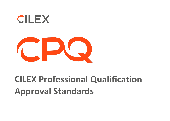



# **CILEX Professional Qualification Approval Standards**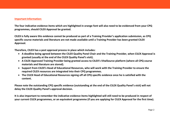#### **Important Information:**

**The four indicative evidence items which are highlighted in orange font will also need to be evidenced from your CPQ programmes, should CILEX Approval be granted.**

**CILEX is fully aware this evidence cannot be produced as part of a Training Provider's application submission, as CPQ specific course materials and literature are not made available until a Training Provider has been granted CILEX Approval.**

**Therefore, CILEX has a post approval process in place which includes:**

- **A deadline being agreed between the CILEX Quality Panel Chair and the Training Provider, when CILEX Approval is granted (usually at the end of the CILEX Quality Panel's visit).**
- **A CILEX Approved Training Provider being granted access to CILEX's VitalSource platform (where all CPQ course materials and literature are stored).**
- **Support from CILEX's Head of Educational Resources, who will work with the Training Provider to ensure the required CILEX resources are integrated into their CPQ programmes.**
- **The CILEX Head of Educational Resources signing off all CPQ specific evidence once he is satisfied with the content.**

**Please note the outstanding CPQ specific evidence (outstanding at the end of the CILEX Quality Panel's visit) will not delay the CILEX Quality Panel's approval decision.** 

**It is also important to remember the indicative evidence items highlighted will still need to be produced in respect of your current CILEX programmes, or an equivalent programme (if you are applying for CILEX Approval for the first time).**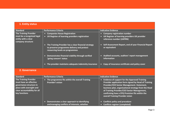| 1. Entity status                                                                                |                                                                                                                                                    |                                                                                                                                           |
|-------------------------------------------------------------------------------------------------|----------------------------------------------------------------------------------------------------------------------------------------------------|-------------------------------------------------------------------------------------------------------------------------------------------|
| <b>Standard</b>                                                                                 | <b>Performance Criteria</b>                                                                                                                        | <b>Indicative Evidence</b>                                                                                                                |
| The Training Provider<br>must be a recognised legal<br>entity with a clear<br>company structure | <b>Companies House Registration</b><br>UK Register of learning providers registration<br>$\bullet$                                                 | <b>Company registration number</b><br>$\bullet$<br>UK Register of learning providers UK provider<br>$\bullet$<br>reference number (UKPRN) |
|                                                                                                 | The Training Provider has a clear financial strategy<br>$\bullet$<br>to preserve programme delivery and protect<br>resourcing levels on programmes | Self-Assessment Report, end of year Financial Report<br>$\bullet$<br>or equivalent                                                        |
|                                                                                                 | Demonstrates financial viability through verified<br>$\bullet$<br>'going concern' status                                                           | Audited accounts, auditors' report management<br>$\bullet$<br>information                                                                 |
|                                                                                                 | The provider maintains adequate indemnity insurance<br>$\bullet$                                                                                   | Copy of insurance certificate and policy cover<br>$\bullet$                                                                               |

#### **2. Governance**

| <b>Standard</b>                                                                                                                                                | <b>Performance Criteria</b>                                                | <b>Indicative Evidence</b>                                                                                                                                                                                                                                                                                                                         |
|----------------------------------------------------------------------------------------------------------------------------------------------------------------|----------------------------------------------------------------------------|----------------------------------------------------------------------------------------------------------------------------------------------------------------------------------------------------------------------------------------------------------------------------------------------------------------------------------------------------|
| <b>The Training Provider</b><br>must have an effective<br>governance structure in<br>place with oversight and<br>clear accountability for all<br>key functions | The programme fits within the overall Training<br><b>Provider's vision</b> | • Evidence of support for the Approved Training<br>Provider application form signed by Head of Training<br>Provider/CEO Senior Management. Statement,<br>business plan, organisational strategy from the Head<br>of Training Provider/CEO Senior Management,<br>confirming how a CPQ Provision fits within the<br>overall Training Provider vision |
|                                                                                                                                                                | Demonstrates a clear approach to identifying                               | <b>Conflicts policy and procedure</b>                                                                                                                                                                                                                                                                                                              |
|                                                                                                                                                                | and managing conflicts of interests, whether                               | <b>Conflicts register (completed)</b>                                                                                                                                                                                                                                                                                                              |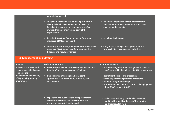| potential or realised                                                                                                                                                                                                |                                                                                                                      |
|----------------------------------------------------------------------------------------------------------------------------------------------------------------------------------------------------------------------|----------------------------------------------------------------------------------------------------------------------|
| • The governance and decision-making structure is<br>clearly defined, documented, and understood,<br>including the role and extent of authority of any<br>owners, trustees, or governing body of the<br>organisation | • Up-to-date organisation chart, memorandum<br>and articles, trustee agreements and/or other<br>governance documents |
| • Details of Directors, Board members, Governance<br>members, CEO (or equivalent)                                                                                                                                    | • See above bullet point                                                                                             |
| • The company directors, Board members, Governance<br>members, CEO (or equivalent) are aware of the<br>fiduciary and regulatory duties                                                                               | Copy of associated job description, role, and<br>$\bullet$<br>responsibilities document, or equivalent               |

### **3. Management and Staffing**

| <b>Standard</b>                                                          | <b>Performance Criteria</b>                                                                                                              | <b>Indicative Evidence</b>                                                                                                                                                                                     |
|--------------------------------------------------------------------------|------------------------------------------------------------------------------------------------------------------------------------------|----------------------------------------------------------------------------------------------------------------------------------------------------------------------------------------------------------------|
| Policies, procedures, and<br>resources must be in place<br>to enable the | Roles, responsibilities, and accountabilities are clear<br>$\bullet$<br>for all staff and communicated to Trainees                       | • Up-to-date organisational chart (which includes all<br>staff involved in the delivery of CILEX programmes)                                                                                                   |
| development and delivery<br>of high-quality learning<br>programmes       | Demonstrates a thorough and consistent<br>approach to staff recruitment, retention, and<br>development                                   | • Recruitment policies and procedures<br>• Staff disciplinary and grievance procedures<br>• Details of programme budget<br>• Up-to-date signed contacts contracts of employment<br>for all Self-employed staff |
|                                                                          | Experience and qualifications are appropriately<br>n<br>checked and verified before recruitment and<br>records are accurately maintained | • Staffing data including CVs detailing academic<br>and teaching qualifications, staffing structure<br>and Trainee: staff ratio                                                                                |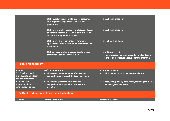|                                                           | Staff must have appropriate level of academic<br>$\bullet$<br>and/or practice experience to deliver the<br>programme<br>Staff have a level of subject knowledge, pedagogic<br>$\bullet$<br>and communication skills which allows them to<br>deliver the programme effectively<br>Staffing levels are kept under review with<br>$\bullet$<br>appropriate Trainee: staff ratio documented and<br>maintained<br>Staff turnover levels are appropriate to ensure<br>$\bullet$<br>stability and consistency of tuition | • See above bullet point<br>• See above bullet point<br>• See above bullet point<br>• Staff turnover data<br>• Evidence senior management understand and commit<br>to the required resourcing levels for the programme |
|-----------------------------------------------------------|-------------------------------------------------------------------------------------------------------------------------------------------------------------------------------------------------------------------------------------------------------------------------------------------------------------------------------------------------------------------------------------------------------------------------------------------------------------------------------------------------------------------|------------------------------------------------------------------------------------------------------------------------------------------------------------------------------------------------------------------------|
| 4. Risk Management                                        |                                                                                                                                                                                                                                                                                                                                                                                                                                                                                                                   |                                                                                                                                                                                                                        |
| <b>Standard</b>                                           | <b>Performance Criteria</b>                                                                                                                                                                                                                                                                                                                                                                                                                                                                                       | <b>Indicative Evidence</b>                                                                                                                                                                                             |
| <b>The Training Provider</b><br>must operate an effective | The Training Provider has an effective and<br>$\bullet$<br>comprehensive approach to risk management                                                                                                                                                                                                                                                                                                                                                                                                              | Risk policy and full risk register (completed)                                                                                                                                                                         |

| <b>Standard</b>                                                                | <b>Performance Criteria</b>                                                                | <b>Indicative Evidence</b>                                                          |
|--------------------------------------------------------------------------------|--------------------------------------------------------------------------------------------|-------------------------------------------------------------------------------------|
| <b>The Training Provider</b><br>must operate an effective<br>and comprehensive | The Training Provider has an effective and<br>comprehensive approach to risk management    | Risk policy and full risk register (completed)                                      |
| approach to risk<br>management and<br>contingency planning                     | The Training Provider has a clear and<br>comprehensive approach to contingency<br>planning | Contingency planning documents, including the plan(s)<br>and how it/they are tested |
|                                                                                | 5. Quality Monitoring, Review and Evaluation                                               |                                                                                     |
| <b>Standard</b>                                                                | <b>Performance Criteria</b>                                                                | <b>Indicative Evidence</b>                                                          |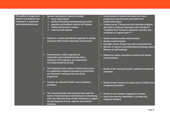| The quality of programme<br>delivery is monitored and<br>reviewed in a systematic<br>and developmental way | Systems and policies in place to include:<br>entry requirements<br>quality of teaching, learning and assessment<br>appraisal and feedback systems for Trainees<br><b>Trainee performance reviews</b><br>resources and capacity                     | Formal system of review that feeds into future<br>programme improvements and evidence of<br>related action plans<br>• Trainee survey ** Please note this indicative evidence<br>also links to evidence requested under Standard 9<br>"Feedback from Trainees is obtained, recorded, and<br>reviewed on a regular basis"** |
|------------------------------------------------------------------------------------------------------------|----------------------------------------------------------------------------------------------------------------------------------------------------------------------------------------------------------------------------------------------------|---------------------------------------------------------------------------------------------------------------------------------------------------------------------------------------------------------------------------------------------------------------------------------------------------------------------------|
|                                                                                                            | Maintains a robust and effective approach to quality<br>$\bullet$<br>assurance which feeds programme improvement                                                                                                                                   | Quality assurance policy and procedure<br>$\bullet$<br><b>Quality monitoring data</b><br>$\bullet$<br>Examples of how reviews have led to improvements<br>$\bullet$<br>Minutes of relevant committee/board meetings and/or<br><b>Minutes of staff meetings</b>                                                            |
|                                                                                                            | Demonstrates a robust approach to<br>$\bullet$<br>malpractice and maladministration that is<br>consistent, fit for purpose, and understood<br>and implemented by all staff                                                                         | Malpractice policy, procedures; records and related<br>$\bullet$<br>correspondence                                                                                                                                                                                                                                        |
|                                                                                                            | The Training Provider ensures Trainees have access<br>$\bullet$<br>to a published complaints procedure of which they<br>are informed in writing at the start of the<br>programme                                                                   | Details of the Training Provider's published complaints<br>procedure                                                                                                                                                                                                                                                      |
|                                                                                                            | Trainees are advised of CILEX's own complaints<br>$\bullet$<br>procedure                                                                                                                                                                           | • Details of how Trainees are made aware of CILEX's own<br>complaints procedure                                                                                                                                                                                                                                           |
|                                                                                                            | The Training Provider demonstrates they meet the<br>$\bullet$<br>needs of local businesses and employers in developing<br>their own skills and those of their workforce to support<br>the development of local, regional, and national<br>economy. | • Details of any employer engagement strategy<br>Input from external stakeholders, including any<br>employer feedback                                                                                                                                                                                                     |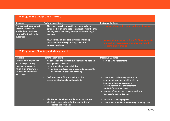### **6. Programme Design and Structure**

| <b>Standard</b>                                                                                                      | <b>Performance Criteria</b>                                                                                                                                                      | <b>Indicative Evidence</b>                                                                                                             |
|----------------------------------------------------------------------------------------------------------------------|----------------------------------------------------------------------------------------------------------------------------------------------------------------------------------|----------------------------------------------------------------------------------------------------------------------------------------|
| The course structure must<br>support Trainees to<br>enable them to achieve<br>the qualification learning<br>outcomes | The course has clear objectives, is appropriately<br>structured, with up to date content reflecting the title<br>and objectives and being appropriate for the target<br>audience | <b>Examples of course literature and Trainee handbook</b>                                                                              |
|                                                                                                                      | <b>CILEX curriculum and core materials (including</b><br>assessment resources) are integrated into<br>programme design                                                           | • Mapping of programme design to CILEX requirements<br>to show how resources are integrated and how they<br>are being used in practice |

## **7. Programme Planning and Management**

| <b>Standard</b>                                                                                                                                   | <b>Performance Criteria</b>                                                                                                                                                                                       | <b>Indicative Evidence</b>                                                                                                                                                                                                                                                                                  |
|---------------------------------------------------------------------------------------------------------------------------------------------------|-------------------------------------------------------------------------------------------------------------------------------------------------------------------------------------------------------------------|-------------------------------------------------------------------------------------------------------------------------------------------------------------------------------------------------------------------------------------------------------------------------------------------------------------|
| <b>Courses must be planned</b><br>and managed through<br>transparent processes<br>which must show who is<br>responsible for what at<br>each stage | All education and training is supported by a defined<br>management plan with:<br>a schedule of responsibilities<br>➤<br>defined structures and processes to manage the<br>➤<br>delivery of education and training | • Service Level Agreements                                                                                                                                                                                                                                                                                  |
|                                                                                                                                                   | Staff are given sufficient training on the<br>assessment tools and marking criteria                                                                                                                               | Evidence of staff training sessions on<br>$\bullet$<br>assessment tools and marking criteria<br><b>Samples of internal assessment</b><br>$\bullet$<br>procedures/samples of assessment<br>methods/assessment tools<br>Samples of marked participants' work with<br>$\bullet$<br>feedback to the participant |
|                                                                                                                                                   | The Training Provider must demonstrate the use<br>$\bullet$<br>of effective mechanisms for the monitoring of:<br><b>Trainee achievement</b>                                                                       | <b>Records of Trainee progress</b><br>$\bullet$<br>Evidence of attendance monitoring, including class<br>$\bullet$                                                                                                                                                                                          |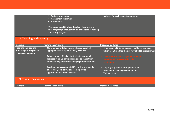|                                                                                 | <b>Trainee progression</b><br><b>Assessment outcomes</b><br><b>Attendance</b><br>*The above should include details of the process in<br>place for prompt intervention if a Trainee is not making<br>satisfactory progress*                                     | registers for each course/programme                                                                                                                                                                                                |
|---------------------------------------------------------------------------------|----------------------------------------------------------------------------------------------------------------------------------------------------------------------------------------------------------------------------------------------------------------|------------------------------------------------------------------------------------------------------------------------------------------------------------------------------------------------------------------------------------|
| 8. Teaching and Learning                                                        |                                                                                                                                                                                                                                                                |                                                                                                                                                                                                                                    |
| Standard                                                                        | <b>Performance Criteria</b>                                                                                                                                                                                                                                    | <b>Indicative Evidence</b>                                                                                                                                                                                                         |
| Teaching and learning<br>must support progressive<br><b>Trainee development</b> | The programme delivery make effective use of all<br>appropriate teaching and learning resources<br>Tutors employ effective strategies to involve all<br>Trainees in active participation and to check their<br>understanding of concepts and programme content | Evidence of all internal systems, platforms and apps<br>$\bullet$<br>which are utilised for the delivery of CILEX programmes<br><b>Evidence tutors are using CILEX resource</b><br>materials and integrating into the<br>programme |
|                                                                                 | Teaching takes account of different learning needs<br>$\bullet$<br>of Trainees, applies various learning styles<br>appropriate to content delivered                                                                                                            | Target group details, examples of how<br>$\bullet$<br>programme planning accommodates<br><b>Trainees needs</b>                                                                                                                     |
| <b>9. Trainee Experience</b>                                                    |                                                                                                                                                                                                                                                                |                                                                                                                                                                                                                                    |

| Standard | <b>Performance Criteria</b> | idicative Evidence |
|----------|-----------------------------|--------------------|
|          |                             |                    |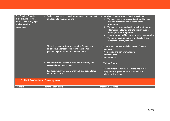| <b>The Training Provider</b><br>must provide Trainees<br>with a consistently high-<br>quality learning<br>experience | • Trainees have access to advice, guidance, and support<br>in relation to the programme                                                             | • Details of Trainee Support Services available:<br>Trainees receive an appropriate induction and<br>relevant information at the start of the<br>programme<br>$\triangleright$ Trainees are provided with the relevant contact<br>information, allowing them to submit queries<br>relating to their programme<br>$\triangleright$ Evidence that staff have the capacity to respond to<br>Trainee's enquiries and provide feedback and<br>support in a timely manner. |
|----------------------------------------------------------------------------------------------------------------------|-----------------------------------------------------------------------------------------------------------------------------------------------------|----------------------------------------------------------------------------------------------------------------------------------------------------------------------------------------------------------------------------------------------------------------------------------------------------------------------------------------------------------------------------------------------------------------------------------------------------------------------|
|                                                                                                                      | • There is a clear strategy for retaining Trainees and<br>an effective approach to ensuring they have a<br>positive experience and positive outcome | Evidence of changes made because of Trainees'<br>$\bullet$<br>feedback<br><b>Progression and achievement data</b><br><b>Retention data</b><br>Pass rate data<br>$\mathbf \Omega$                                                                                                                                                                                                                                                                                     |
|                                                                                                                      | Feedback from Trainees is obtained, recorded, and<br>$\bullet$<br>reviewed on a regular basis                                                       | <b>Trainee Survey</b><br>$\bullet$                                                                                                                                                                                                                                                                                                                                                                                                                                   |
|                                                                                                                      | • Feedback from Trainees is analysed, and action taken<br>where necessary                                                                           | Formal system of review that feeds into future<br>$\bullet$<br>programme improvements and evidence of<br>related action plans                                                                                                                                                                                                                                                                                                                                        |
| <b>10. Staff Professional Development</b>                                                                            |                                                                                                                                                     |                                                                                                                                                                                                                                                                                                                                                                                                                                                                      |
| <b>Standard</b>                                                                                                      | <b>Performance Criteria</b>                                                                                                                         | <b>Indicative Evidence</b>                                                                                                                                                                                                                                                                                                                                                                                                                                           |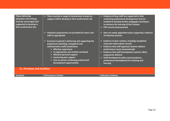| <b>Those delivering</b><br>education and training<br>must be encouraged and<br>supported to develop in<br>their professional role | • There must be a range of mechanisms in place to<br>support staff to develop in their professional role<br>• Induction programmes are provided for tutors and<br>staff as appropriate<br>• Everyone involved in delivering and supporting the<br>programme (teaching, managerial and<br>administrative staff) should have:<br>$\triangleright$ effective supervision<br>$\triangleright$ an appropriate and realistic workload<br>$\triangleright$ effective personal support<br>$\triangleright$ mentoring peer support<br>$\triangleright$ time to pursue continuing professional<br>development opportunities | Evidence of how staff are supported in their<br>$\bullet$<br>continuing professional development and are<br>enabled to develop further pedagogic techniques<br>to enhance the learning of the Trainees<br><b>CPD records (anonymised)</b><br>$\bullet$<br>How are newly appointed tutors supported, evidence<br>O<br>of induction process<br>Evidence of peer reviews, including completed<br>$\bullet$<br>classroom observation records<br>Evidence that staff appraisal systems address<br>$\bullet$<br>performance issues (anonymised).<br>Evidence that staff development systems affect<br>$\mathbf \Omega$<br>programme delivery<br>Staff development policy and procedures,<br>$\bullet$<br>professional development for teaching and<br><b>learning</b> |  |
|-----------------------------------------------------------------------------------------------------------------------------------|-------------------------------------------------------------------------------------------------------------------------------------------------------------------------------------------------------------------------------------------------------------------------------------------------------------------------------------------------------------------------------------------------------------------------------------------------------------------------------------------------------------------------------------------------------------------------------------------------------------------|-----------------------------------------------------------------------------------------------------------------------------------------------------------------------------------------------------------------------------------------------------------------------------------------------------------------------------------------------------------------------------------------------------------------------------------------------------------------------------------------------------------------------------------------------------------------------------------------------------------------------------------------------------------------------------------------------------------------------------------------------------------------|--|
| <b>11. Premises and Facilities</b>                                                                                                |                                                                                                                                                                                                                                                                                                                                                                                                                                                                                                                                                                                                                   |                                                                                                                                                                                                                                                                                                                                                                                                                                                                                                                                                                                                                                                                                                                                                                 |  |
| <b>Standard</b>                                                                                                                   | <b>Performance Criteria</b>                                                                                                                                                                                                                                                                                                                                                                                                                                                                                                                                                                                       | <b>Indicative Evidence</b>                                                                                                                                                                                                                                                                                                                                                                                                                                                                                                                                                                                                                                                                                                                                      |  |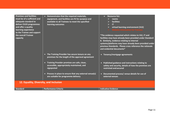| <b>Premises and facilities</b><br>must be of a sufficient and<br>adequate standard to<br>deliver CILEX programmes<br>and offer a quality<br>learning experience<br>to the Trainee and support<br>the overall Trainee<br>capacity | • Demonstrates that the required materials,<br>equipment, and facilities are fit for purpose and<br>available to all Trainees to meet the specified<br>learning outcomes                                                                                                                                            | <b>Resource list:</b><br>n<br>rooms<br><b>facilities</b><br>$\mathbf{I}$<br>virtual learning environment (VLE)<br><b>Website information for Trainees</b><br>*The evidence requested which relates to VLE, IT and<br>facilities may have already been provided under Standard<br>8. Similarly, evidence relating to internal<br>systems/platforms may have already been provided under<br>previous Standards. Please cross reference the rationale<br>and evidential documents* |  |
|----------------------------------------------------------------------------------------------------------------------------------------------------------------------------------------------------------------------------------|---------------------------------------------------------------------------------------------------------------------------------------------------------------------------------------------------------------------------------------------------------------------------------------------------------------------|---------------------------------------------------------------------------------------------------------------------------------------------------------------------------------------------------------------------------------------------------------------------------------------------------------------------------------------------------------------------------------------------------------------------------------------------------------------------------------|--|
|                                                                                                                                                                                                                                  | • The Training Provider has secure tenure on any<br>premises for the length of the approval agreement<br>• Training Provider premises are safe, clean,<br>accessible, appropriately maintained, and<br>signposted<br>• Process in place to ensure that any external venue(s)<br>are suitable for programme delivery | • Tenancy/mortgage agreements<br>• Published guidance and instructions relating to<br>safety and security, details of how the premises are<br>restricted and secured<br>• Documented process/ venue details for use of<br>external venues                                                                                                                                                                                                                                       |  |
| 12. Equality, Diversity, and Inclusion                                                                                                                                                                                           |                                                                                                                                                                                                                                                                                                                     |                                                                                                                                                                                                                                                                                                                                                                                                                                                                                 |  |
| <b>Standard</b>                                                                                                                                                                                                                  | <b>Performance Criteria</b>                                                                                                                                                                                                                                                                                         | <b>Indicative Evidence</b>                                                                                                                                                                                                                                                                                                                                                                                                                                                      |  |